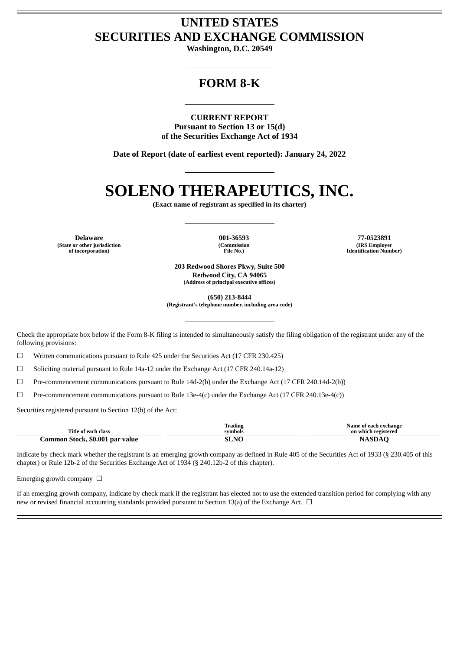# **UNITED STATES SECURITIES AND EXCHANGE COMMISSION**

**Washington, D.C. 20549**

# **FORM 8-K**

**CURRENT REPORT Pursuant to Section 13 or 15(d) of the Securities Exchange Act of 1934**

**Date of Report (date of earliest event reported): January 24, 2022**

# **SOLENO THERAPEUTICS, INC.**

**(Exact name of registrant as specified in its charter)**

**(State or other jurisdiction of incorporation)**

**(Commission File No.)**

**Delaware 001-36593 77-0523891 (IRS Employer Identification Number)**

> **203 Redwood Shores Pkwy, Suite 500 Redwood City, CA 94065 (Address of principal executive offices)**

> > **(650) 213-8444**

**(Registrant's telephone number, including area code)**

Check the appropriate box below if the Form 8-K filing is intended to simultaneously satisfy the filing obligation of the registrant under any of the following provisions:

 $\Box$  Written communications pursuant to Rule 425 under the Securities Act (17 CFR 230.425)

 $\Box$  Soliciting material pursuant to Rule 14a-12 under the Exchange Act (17 CFR 240.14a-12)

☐ Pre-commencement communications pursuant to Rule 14d-2(b) under the Exchange Act (17 CFR 240.14d-2(b))

 $\Box$  Pre-commencement communications pursuant to Rule 13e-4(c) under the Exchange Act (17 CFR 240.13e-4(c))

Securities registered pursuant to Section 12(b) of the Act:

| Title of each class             | Trading<br>__<br>symbols | Name of each exchange<br>on which registered |
|---------------------------------|--------------------------|----------------------------------------------|
| Common Stock, \$0.001 par value | SLNO                     | <b>NASP</b>                                  |

Indicate by check mark whether the registrant is an emerging growth company as defined in Rule 405 of the Securities Act of 1933 (§ 230.405 of this chapter) or Rule 12b-2 of the Securities Exchange Act of 1934 (§ 240.12b-2 of this chapter).

Emerging growth company  $\Box$ 

If an emerging growth company, indicate by check mark if the registrant has elected not to use the extended transition period for complying with any new or revised financial accounting standards provided pursuant to Section 13(a) of the Exchange Act. □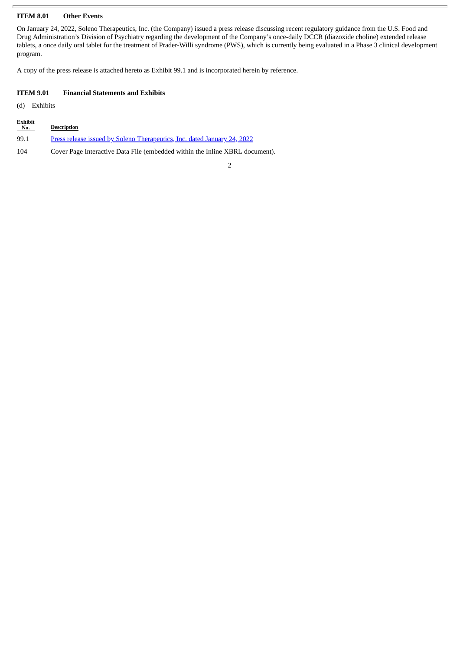## **ITEM 8.01 Other Events**

On January 24, 2022, Soleno Therapeutics, Inc. (the Company) issued a press release discussing recent regulatory guidance from the U.S. Food and Drug Administration's Division of Psychiatry regarding the development of the Company's once-daily DCCR (diazoxide choline) extended release tablets, a once daily oral tablet for the treatment of Prader-Willi syndrome (PWS), which is currently being evaluated in a Phase 3 clinical development program.

A copy of the press release is attached hereto as Exhibit 99.1 and is incorporated herein by reference.

#### **ITEM 9.01 Financial Statements and Exhibits**

(d) Exhibits

| <b>Exhibit</b><br>No. | <b>Description</b>                                                           |
|-----------------------|------------------------------------------------------------------------------|
| 99.1                  | Press release issued by Soleno Therapeutics, Inc. dated January 24, 2022     |
| 104                   | Cover Page Interactive Data File (embedded within the Inline XBRL document). |

2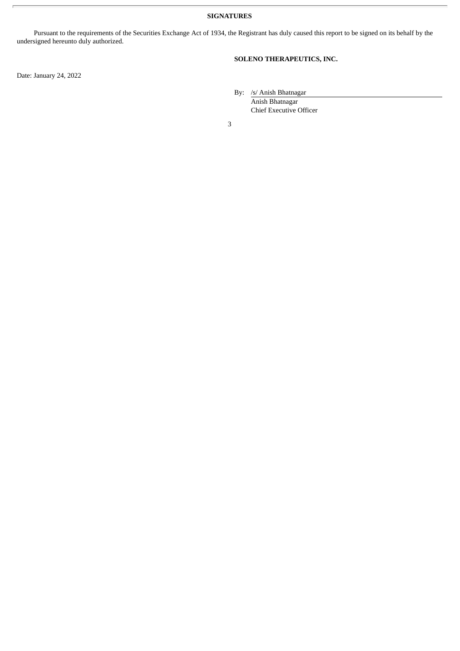**SIGNATURES**

Pursuant to the requirements of the Securities Exchange Act of 1934, the Registrant has duly caused this report to be signed on its behalf by the undersigned hereunto duly authorized.

**SOLENO THERAPEUTICS, INC.**

Date: January 24, 2022

By: /s/ Anish Bhatnagar

Anish Bhatnagar Chief Executive Officer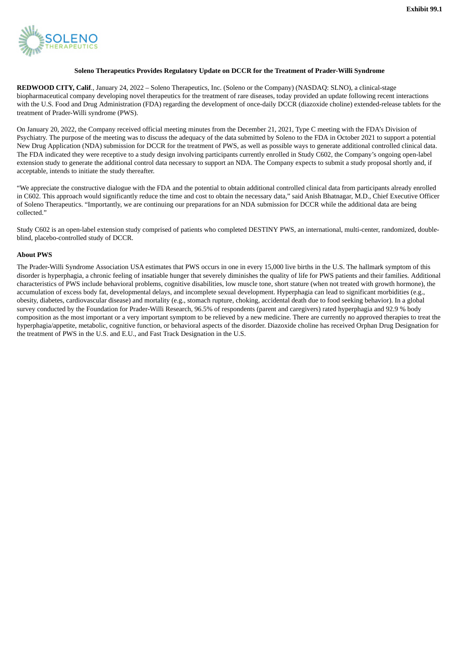<span id="page-3-0"></span>

#### **Soleno Therapeutics Provides Regulatory Update on DCCR for the Treatment of Prader-Willi Syndrome**

**REDWOOD CITY, Calif**., January 24, 2022 – Soleno Therapeutics, Inc. (Soleno or the Company) (NASDAQ: SLNO), a clinical-stage biopharmaceutical company developing novel therapeutics for the treatment of rare diseases, today provided an update following recent interactions with the U.S. Food and Drug Administration (FDA) regarding the development of once-daily DCCR (diazoxide choline) extended-release tablets for the treatment of Prader-Willi syndrome (PWS).

On January 20, 2022, the Company received official meeting minutes from the December 21, 2021, Type C meeting with the FDA's Division of Psychiatry. The purpose of the meeting was to discuss the adequacy of the data submitted by Soleno to the FDA in October 2021 to support a potential New Drug Application (NDA) submission for DCCR for the treatment of PWS, as well as possible ways to generate additional controlled clinical data. The FDA indicated they were receptive to a study design involving participants currently enrolled in Study C602, the Company's ongoing open-label extension study to generate the additional control data necessary to support an NDA. The Company expects to submit a study proposal shortly and, if acceptable, intends to initiate the study thereafter.

"We appreciate the constructive dialogue with the FDA and the potential to obtain additional controlled clinical data from participants already enrolled in C602. This approach would significantly reduce the time and cost to obtain the necessary data," said Anish Bhatnagar, M.D., Chief Executive Officer of Soleno Therapeutics. "Importantly, we are continuing our preparations for an NDA submission for DCCR while the additional data are being collected."

Study C602 is an open-label extension study comprised of patients who completed DESTINY PWS, an international, multi-center, randomized, doubleblind, placebo-controlled study of DCCR.

## **About PWS**

The Prader-Willi Syndrome Association USA estimates that PWS occurs in one in every 15,000 live births in the U.S. The hallmark symptom of this disorder is hyperphagia, a chronic feeling of insatiable hunger that severely diminishes the quality of life for PWS patients and their families. Additional characteristics of PWS include behavioral problems, cognitive disabilities, low muscle tone, short stature (when not treated with growth hormone), the accumulation of excess body fat, developmental delays, and incomplete sexual development. Hyperphagia can lead to significant morbidities (e.g., obesity, diabetes, cardiovascular disease) and mortality (e.g., stomach rupture, choking, accidental death due to food seeking behavior). In a global survey conducted by the Foundation for Prader-Willi Research, 96.5% of respondents (parent and caregivers) rated hyperphagia and 92.9 % body composition as the most important or a very important symptom to be relieved by a new medicine. There are currently no approved therapies to treat the hyperphagia/appetite, metabolic, cognitive function, or behavioral aspects of the disorder. Diazoxide choline has received Orphan Drug Designation for the treatment of PWS in the U.S. and E.U., and Fast Track Designation in the U.S.